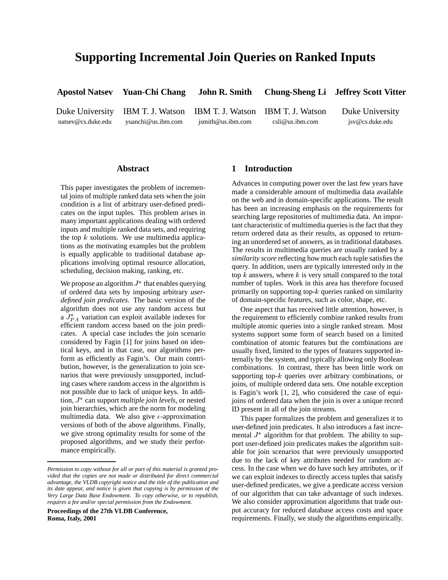# **Supporting Incremental Join Queries on Ranked Inputs**

**Apostol Natsev Yuan-Chi Chang John R. Smith Chung-Sheng Li Jeffrey Scott Vitter**

natsev@cs.duke.edu yuanchi@us.ibm.com jsmith@us.ibm.com csli@us.ibm.com jsv@cs.duke.edu

Duke University IBM T. J. Watson IBM T. J. Watson IBM T. J. Watson Duke University

### **Abstract**

This paper investigates the problem of incremental joins of multiple ranked data sets when the join condition is a list of arbitrary user-defined predicates on the input tuples. This problem arises in many important applications dealing with ordered inputs and multiple ranked data sets, and requiring the top  $k$  solutions. We use multimedia applications as the motivating examples but the problem is equally applicable to traditional database applications involving optimal resource allocation, scheduling, decision making, ranking, etc.

We propose an algorithm  $J^*$  that enables querying of ordered data sets by imposing arbitrary *userdefined join predicates*. The basic version of the algorithm does not use any random access but a  $J_{PA}^*$  variation can exploit available indexes for efficient random access based on the join predicates. A special case includes the join scenario considered by Fagin [1] for joins based on identical keys, and in that case, our algorithms perform as efficiently as Fagin's. Our main contribution, however, is the generalization to join scenarios that were previously unsupported, including cases where random access in the algorithm is not possible due to lack of unique keys. In addition,  $J^*$  can support *multiple join levels*, or nested join hierarchies, which are the norm for modeling multimedia data. We also give  $\epsilon$ -approximation versions of both of the above algorithms. Finally, we give strong optimality results for some of the proposed algorithms, and we study their performance empirically.

**Proceedings of the 27th VLDB Conference, Roma, Italy, 2001**

#### **1 Introduction**

Advances in computing power over the last few years have made a considerable amount of multimedia data available on the web and in domain-specific applications. The result has been an increasing emphasis on the requirements for searching large repositories of multimedia data. An important characteristic of multimedia queries is the fact that they return ordered data as their results, as opposed to returning an unordered set of answers, as in traditional databases. The results in multimedia queries are usually ranked by a *similarity score* reflecting how much each tuple satisfies the query. In addition, users are typically interested only in the top  $k$  answers, where  $k$  is very small compared to the total number of tuples. Work in this area has therefore focused primarily on supporting top- $k$  queries ranked on similarity of domain-specific features, such as color, shape, etc.

One aspect that has received little attention, however, is the requirement to efficiently combine ranked results from multiple atomic queries into a single ranked stream. Most systems support some form of search based on a limited combination of atomic features but the combinations are usually fixed, limited to the types of features supported internally by the system, and typically allowing only Boolean combinations. In contrast, there has been little work on supporting top-k queries over arbitrary combinations, or joins, of multiple ordered data sets. One notable exception is Fagin's work [1, 2], who considered the case of equijoins of ordered data when the join is over a unique record ID present in all of the join streams.

This paper formalizes the problem and generalizes it to user-defined join predicates. It also introduces a fast incremental  $J^*$  algorithm for that problem. The ability to support user-defined join predicates makes the algorithm suitable for join scenarios that were previously unsupported due to the lack of key attributes needed for random access. In the case when we do have such key attributes, or if we can exploit indexes to directly access tuples that satisfy user-defined predicates, we give a predicate access version of our algorithm that can take advantage of such indexes. We also consider approximation algorithms that trade output accuracy for reduced database access costs and space requirements. Finally, we study the algorithms empirically.

*Permission to copy without fee all or part of this material is granted provided that the copies are not made or distributed for direct commercial advantage, the VLDB copyright notice and the title of the publication and its date appear, and notice is given that copying is by permission of the Very Large Data Base Endowment. To copy otherwise, or to republish, requires a fee and/or special permission from the Endowment.*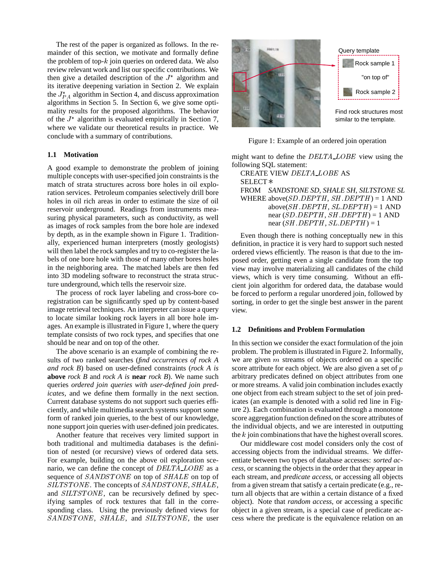The rest of the paper is organized as follows. In the remainder of this section, we motivate and formally define the problem of top- $k$  join queries on ordered data. We also review relevant work and list our specific contributions. We then give a detailed description of the  $J^*$  algorithm and its iterative deepening variation in Section 2. We explain the  $J_{PA}^*$  algorithm in Section 4, and discuss approximation algorithms in Section 5. In Section 6, we give some optimality results for the proposed algorithms. The behavior of the  $J^*$  algorithm is evaluated empirically in Section 7, where we validate our theoretical results in practice. We conclude with a summary of contributions.

#### **1.1 Motivation**

A good example to demonstrate the problem of joining multiple concepts with user-specified join constraints is the match of strata structures across bore holes in oil exploration services. Petroleum companies selectively drill bore holes in oil rich areas in order to estimate the size of oil reservoir underground. Readings from instruments measuring physical parameters, such as conductivity, as well as images of rock samples from the bore hole are indexed by depth, as in the example shown in Figure 1. Traditionally, experienced human interpreters (mostly geologists) will then label the rock samples and try to co-register the labels of one bore hole with those of many other bores holes in the neighboring area. The matched labels are then fed into 3D modeling software to reconstruct the strata structure underground, which tells the reservoir size.

The process of rock layer labeling and cross-bore coregistration can be significantly sped up by content-based image retrieval techniques. An interpreter can issue a query to locate similar looking rock layers in all bore hole images. An example is illustrated in Figure 1, where the query template consists of two rock types, and specifies that one should be near and on top of the other.

The above scenario is an example of combining the results of two ranked searches (*find occurrences of rock A and rock B*) based on user-defined constraints (*rock A is* **above** *rock B* and *rock A is* **near** *rock B*). We name such queries *ordered join queries with user-defined join predicates,* and we define them formally in the next section. Current database systems do not support such queries efficiently, and while multimedia search systems support some form of ranked join queries, to the best of our knowledge, none support join queries with user-defined join predicates.

Another feature that receives very limited support in both traditional and multimedia databases is the definition of nested (or recursive) views of ordered data sets. For example, building on the above oil exploration scenario, we can define the concept of DELTA\_LOBE as a sequence of SANDSTONE on top of SHALE on top of SILTSTONE. The concepts of SANDSTONE, SHALE, and *SILTSTONE*, can be recursively defined by specifying samples of rock textures that fall in the corresponding class. Using the previously defined views for SANDSTONE, SHALE, and SILTSTONE, the user



Figure 1: Example of an ordered join operation

might want to define the DELTA\_LOBE view using the following SQL statement:

CREATE VIEW DELTA LOBE AS SELECT FROM *SANDSTONE SD, SHALE SH, SILTSTONE SL* WHERE above( $SD$ .  $DEPTH$ ,  $SH$ .  $DEPTH$ ) = 1 AND above( $SH$ . DEPTH,  $SL$ . DEPTH) = 1 AND near  $(SD.DEPTH, SH.DEPTH) = 1$  AND near  $(SH. DEPTH, SL. DEPTH) = 1$ 

Even though there is nothing conceptually new in this definition, in practice it is very hard to support such nested ordered views efficiently. The reason is that due to the imposed order, getting even a single candidate from the top view may involve materializing all candidates of the child views, which is very time consuming. Without an efficient join algorithm for ordered data, the database would be forced to perform a regular unordered join, followed by sorting, in order to get the single best answer in the parent view.

#### **1.2 Definitions and Problem Formulation**

In this section we consider the exact formulation of the join problem. The problem is illustrated in Figure 2. Informally, we are given m streams of objects ordered on a specific score attribute for each object. We are also given a set of  $p$ arbitrary predicates defined on object attributes from one or more streams. A valid join combination includes exactly one object from each stream subject to the set of join predicates (an example is denoted with a solid red line in Figure 2). Each combination is evaluated through a monotone score aggregation function defined on the score attributes of the individual objects, and we are interested in outputting the  $k$  join combinations that have the highest overall scores.

Our middleware cost model considers only the cost of accessing objects from the individual streams. We differentiate between two types of database accesses: *sorted access*, or scanning the objects in the order that they appear in each stream, and *predicate access*, or accessing all objects from a given stream that satisfy a certain predicate (e.g., return all objects that are within a certain distance of a fixed object). Note that *random access*, or accessing a specific object in a given stream, is a special case of predicate access where the predicate is the equivalence relation on an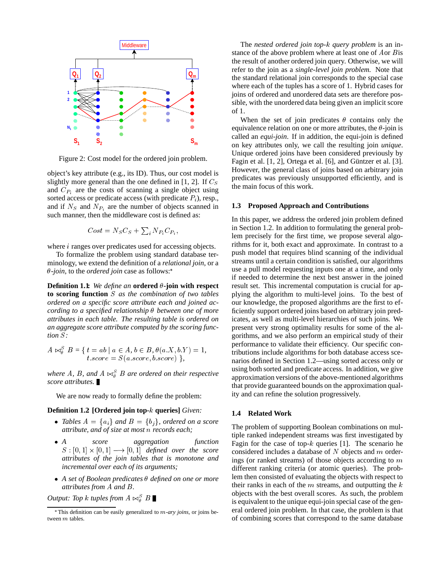

Figure 2: Cost model for the ordered join problem.

object's key attribute (e.g., its ID). Thus, our cost model is slightly more general than the one defined in  $[1, 2]$ . If  $C<sub>S</sub>$ and  $C_{P_i}$  are the costs of scanning a single object using sorted access or predicate access (with predicate  $P_i$ ), resp., and if  $N<sub>S</sub>$  and  $N<sub>P<sub>i</sub></sub>$  are the number of objects scanned in such manner, then the middleware cost is defined as:

$$
Cost = N_S C_S + \sum_i N_{P_i} C_{P_i},
$$

where *i* ranges over predicates used for accessing objects.

To formalize the problem using standard database terminology, we extend the definition of a *relational join*, or a  $\theta$ -*join*, to the *ordered join* case as follows:<sup>\*</sup>

**Definition 1.1:** We define an **ordered**  $\theta$ -join with respect **to scoring function** S *as the combination of two tables ordered on a specific score attribute each and joined according to a specified relationship between one of more attributes in each table. The resulting table is ordered on an aggregate score attribute computed by the scoring function S:* 

$$
A \bowtie_{\theta}^{S} B = \{ t = ab \mid a \in A, b \in B, \theta(a.X, b.Y) = 1, \\ t.score = S(a.score, b.score) \},
$$

where A, B, and  $A \bowtie_{\theta}^{S} B$  are ordered on their respective *score attributes.*

We are now ready to formally define the problem:

#### **Definition 1.2: [Ordered join top-**k **queries]** *Given:*

- Tables  $A = \{a_i\}$  and  $B = \{b_j\}$ , ordered on a score *attribute, and of size at most* n *records each;*
- *A score aggregation function*  $S: [0,1] \times [0,1] \longrightarrow [0,1]$  defined over the score *attributes of the join tables that is monotone and incremental over each of its arguments;*
- *A set of Boolean predicates defined on one or more attributes from* <sup>A</sup> *and* <sup>B</sup>*.*

*Output: Top k tuples from*  $A \Join_{\theta}^{S} B$ 

The *nested ordered join top-*k *query problem* is an instance of the above problem where at least one of <sup>A</sup>or <sup>B</sup>is the result of another ordered join query. Otherwise, we will refer to the join as a *single-level join problem.* Note that the standard relational join corresponds to the special case where each of the tuples has a score of 1. Hybrid cases for joins of ordered and unordered data sets are therefore possible, with the unordered data being given an implicit score of 1.

When the set of join predicates  $\theta$  contains only the equivalence relation on one or more attributes, the  $\theta$ -join is called an *equi-join*. If in addition, the equi-join is defined on key attributes only, we call the resulting join *unique*. Unique ordered joins have been considered previously by Fagin et al.  $[1, 2]$ , Ortega et al.  $[6]$ , and Güntzer et al.  $[3]$ . However, the general class of joins based on arbitrary join predicates was previously unsupported efficiently, and is the main focus of this work.

#### **1.3 Proposed Approach and Contributions**

In this paper, we address the ordered join problem defined in Section 1.2. In addition to formulating the general problem precisely for the first time, we propose several algorithms for it, both exact and approximate. In contrast to a push model that requires blind scanning of the individual streams until a certain condition is satisfied, our algorithms use a pull model requesting inputs one at a time, and only if needed to determine the next best answer in the joined result set. This incremental computation is crucial for applying the algorithm to multi-level joins. To the best of our knowledge, the proposed algorithms are the first to efficiently support ordered joins based on arbitrary join predicates, as well as multi-level hierarchies of such joins. We present very strong optimality results for some of the algorithms, and we also perform an empirical study of their performance to validate their efficiency. Our specific contributions include algorithms for both database access scenarios defined in Section 1.2—using sorted access only or using both sorted and predicate access. In addition, we give approximation versions of the above-mentioned algorithms that provide guaranteed bounds on the approximation quality and can refine the solution progressively.

#### **1.4 Related Work**

The problem of supporting Boolean combinations on multiple ranked independent streams was first investigated by Fagin for the case of top- $k$  queries [1]. The scenario he considered includes a database of  $N$  objects and  $m$  orderings (or ranked streams) of those objects according to m different ranking criteria (or atomic queries). The problem then consisted of evaluating the objects with respect to their ranks in each of the  $m$  streams, and outputting the  $k$ objects with the best overall scores. As such, the problem is equivalent to the unique equi-join special case of the general ordered join problem. In that case, the problem is that of combining scores that correspond to the same database

This definition can be easily generalized to m*-ary joins*, or joins between m tables.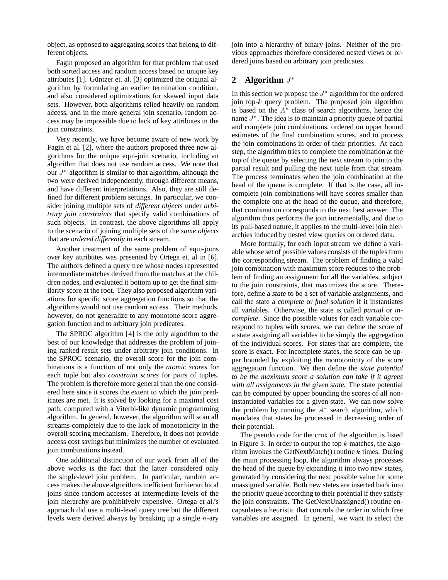object, as opposed to aggregating scores that belong to different objects.

Fagin proposed an algorithm for that problem that used both sorted access and random access based on unique key attributes [1]. Güntzer et. al. [3] optimized the original algorithm by formulating an earlier termination condition, and also considered optimizations for skewed input data sets. However, both algorithms relied heavily on random access, and in the more general join scenario, random access may be impossible due to lack of key attributes in the join constraints.

Very recently, we have become aware of new work by Fagin et al. [2], where the authors proposed three new algorithms for the unique equi-join scenario, including an algorithm that does not use random access. We note that our  $J^*$  algorithm is similar to that algorithm, although the two were derived independently, through different means, and have different interpretations. Also, they are still defined for different problem settings. In particular, we consider joining multiple sets of *different objects* under *arbitrary join constraints* that specify valid combinations of such objects. In contrast, the above algorithms all apply to the scenario of joining multiple sets of the *same objects* that are *ordered differently* in each stream.

Another treatment of the same problem of equi-joins over key attributes was presented by Ortega et. al in [6]. The authors defined a query tree whose nodes represented intermediate matches derived from the matches at the children nodes, and evaluated it bottom up to get the final similarity score at the root. They also proposed algorithm variations for specific score aggregation functions so that the algorithms would not use random access. Their methods, however, do not generalize to any monotone score aggregation function and to arbitrary join predicates.

The SPROC algorithm [4] is the only algorithm to the best of our knowledge that addresses the problem of joining ranked result sets under arbitrary join conditions. In the SPROC scenario, the overall score for the join combinations is a function of not only the *atomic scores* for each tuple but also *constraint scores* for pairs of tuples. The problem is therefore more general than the one considered here since it scores the extent to which the join predicates are met. It is solved by looking for a maximal cost path, computed with a Viterbi-like dynamic programming algorithm. In general, however, the algorithm will scan all streams completely due to the lack of monotonicity in the overall scoring mechanism. Therefore, it does not provide access cost savings but minimizes the number of evaluated join combinations instead.

One additional distinction of our work from all of the above works is the fact that the latter considered only the single-level join problem. In particular, random access makes the above algorithms inefficient for hierarchical joins since random accesses at intermediate levels of the join hierarchy are prohibitively expensive. Ortega et al.'s approach did use a multi-level query tree but the different levels were derived always by breaking up a single  $n$ -ary

join into a hierarchy of binary joins. Neither of the previous approaches therefore considered nested views or ordered joins based on arbitrary join predicates.

## **2 Algorithm** <sup>J</sup>

In this section we propose the  $J^*$  algorithm for the ordered join top- $k$  query problem. The proposed join algorithm is based on the  $A^*$  class of search algorithms, hence the name  $J^*$ . The idea is to maintain a priority queue of partial and complete join combinations, ordered on upper bound estimates of the final combination scores, and to process the join combinations in order of their priorities. At each step, the algorithm tries to complete the combination at the top of the queue by selecting the next stream to join to the partial result and pulling the next tuple from that stream. The process terminates when the join combination at the head of the queue is complete. If that is the case, all incomplete join combinations will have scores smaller than the complete one at the head of the queue, and therefore, that combination corresponds to the next best answer. The algorithm thus performs the join incrementally, and due to its pull-based nature, it applies to the multi-level join hierarchies induced by nested view queries on ordered data.

More formally, for each input stream we define a variable whose set of possible values consists of the tuples from the corresponding stream. The problem of finding a valid join combination with maximum score reduces to the problem of finding an assignment for all the variables, subject to the join constraints, that maximizes the score. Therefore, define a *state* to be a set of variable assignments, and call the state a *complete* or *final solution* if it instantiates all variables. Otherwise, the state is called *partial* or *incomplete*. Since the possible values for each variable correspond to tuples with scores, we can define the score of a state assigning all variables to be simply the aggregation of the individual scores. For states that are complete, the score is exact. For incomplete states, the score can be upper bounded by exploiting the monotonicity of the score aggregation function. We then define the *state potential to be the maximum score a solution can take if it agrees with all assignments in the given state.* The state potential can be computed by upper bounding the scores of all noninstantiated variables for a given state. We can now solve the problem by running the  $A^*$  search algorithm, which mandates that states be processed in decreasing order of their potential.

The pseudo code for the crux of the algorithm is listed in Figure 3. In order to output the top  $k$  matches, the algorithm invokes the GetNextMatch $()$  routine k times. During the main processing loop, the algorithm always processes the head of the queue by expanding it into two new states, generated by considering the next possible value for some unassigned variable. Both new states are inserted back into the priority queue according to their potential if they satisfy the join constraints. The GetNextUnassigned() routine encapsulates a heuristic that controls the order in which free variables are assigned. In general, we want to select the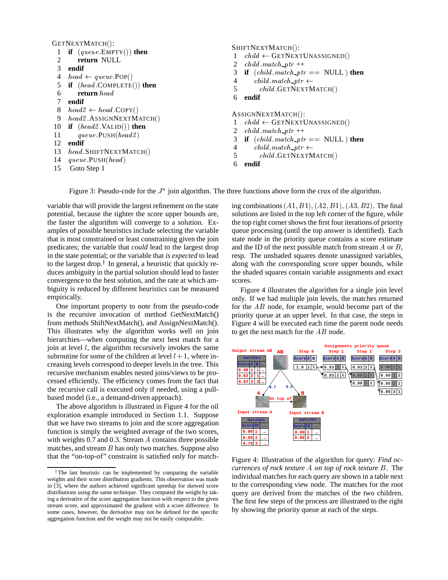GETNEXTMATCH():

```
1 if (queue:EMPTY()) then
2 return NULL
3 endif
4 head \leftarrow queue.POP()5 if (head \text{.COMPLETE}() then
6 return head
7 endif
8 head 2 \leftarrow head COPY()
9 head2.ASSIGNNEXTMATCH()
10 if (head2 \forallALID()) then
11 queue.PUSH(head2)
12 endif
    head SHIFTNEXTMATCH()
14 queue:PUSH(head )
15 Goto Step 1
                                                    SHIFTNEXTMATCH():
                                                     1 child \leftarrow GETNEXTUNASSIGNED()
                                                     2 child. match\_ptr ++3 if (child.match\_ptr == NULL) then
                                                     4 child match ptr \leftarrow5 child GETNEXTMATCH()
                                                     6 endif
                                                    ASSIGNNEXTMATCH():
                                                     1 \text{ child} \leftarrow \text{GETNextUNASSIGNED}()2 child. match\_ptr ++3 if (child-match\_ptr == NULL) then
                                                     4 child match ptr \leftarrow5 child GETNEXTMATCH()
                                                     6 endif
```
Figure 3: Pseudo-code for the  $J^*$  join algorithm. The three functions above form the crux of the algorithm.

variable that will provide the largest refinement on the state potential, because the tighter the score upper bounds are, the faster the algorithm will converge to a solution. Examples of possible heuristics include selecting the variable that is most constrained or least constraining given the join predicates; the variable that *could* lead to the largest drop in the state potential; or the variable that *is expected* to lead to the largest drop.<sup>†</sup> In general, a heuristic that quickly reduces ambiguity in the partial solution should lead to faster convergence to the best solution, and the rate at which ambiguity is reduced by different heuristics can be measured empirically.

One important property to note from the pseudo-code is the recursive invocation of method GetNextMatch() from methods ShiftNextMatch(), and AssignNextMatch(). This illustrates why the algorithm works well on join hierarchies—when computing the next best match for a join at level l, the algorithm recursively invokes the same subroutine for some of the children at level  $l + 1$ , where increasing levels correspond to deeper levels in the tree. This recursive mechanism enables nested joins/views to be processed efficiently. The efficiency comes from the fact that the recursive call is executed only if needed, using a pullbased model (i.e., a demand-driven approach).

The above algorithm is illustrated in Figure 4 for the oil exploration example introduced in Section 1.1. Suppose that we have two streams to join and the score aggregation function is simply the weighted average of the two scores, with weights 0.7 and 0.3. Stream A contains three possible matches, and stream  $B$  has only two matches. Suppose also that the "on-top-of" constraint is satisfied only for matching combinations  $(A1, B1)$ ,  $(A2, B1)$ ,  $(A3, B2)$ . The final solutions are listed in the top left corner of the figure, while the top right corner shows the first four iterations of priority queue processing (until the top answer is identified). Each state node in the priority queue contains a score estimate and the ID of the next possible match from stream  $A$  or  $B$ , resp. The unshaded squares denote unassigned variables, along with the corresponding score upper bounds, while the shaded squares contain variable assignments and exact scores.

Figure 4 illustrates the algorithm for a single join level only. If we had multiple join levels, the matches returned for the  $AB$  node, for example, would become part of the priority queue at an upper level. In that case, the steps in Figure 4 will be executed each time the parent node needs to get the next match for the  $AB$  node.



Figure 4: Illustration of the algorithm for query: *Find occurrences of rock texture* A *on top of rock texture* B. The individual matches for each query are shown in a table next to the corresponding view node. The matches for the root query are derived from the matches of the two children. The first few steps of the process are illustrated to the right by showing the priority queue at each of the steps.

<sup>&</sup>lt;sup>†</sup>The last heuristic can be implemented by comparing the variable weights and their score distribution gradients. This observation was made in [3], where the authors achieved significant speedup for skewed score distributions using the same technique. They computed the weight by taking a derivative of the score aggregation function with respect to the given stream score, and approximated the gradient with a score difference. In some cases, however, the derivative may not be defined for the specific aggregation function and the weight may not be easily computable.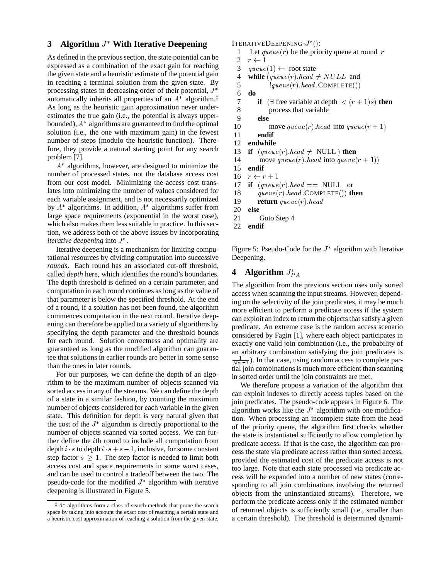## **3 Algorithm** <sup>J</sup> **With Iterative Deepening**

As defined in the previous section, the state potential can be expressed as a combination of the exact gain for reaching the given state and a heuristic estimate of the potential gain in reaching a terminal solution from the given state. By in reaching a terminal solution from the given state. By  $\frac{5}{5}$  processing states in decreasing order of their potential,  $J^*$   $\frac{6}{5}$ automatically inherits all properties of an  $A^*$  algorithm.<sup>‡</sup> As long as the heuristic gain approximation never underestimates the true gain (i.e., the potential is always upperbounded),  $A^*$  algorithms are guaranteed to find the optimal solution (i.e., the one with maximum gain) in the fewest number of steps (modulo the heuristic function). Therefore, they provide a natural starting point for any search problem [7].

A algorithms, however, are designed to minimize the number of processed states, not the database access cost from our cost model. Minimizing the access cost translates into minimizing the number of values considered for each variable assignment, and is not necessarily optimized by  $A^*$  algorithms. In addition,  $A^*$  algorithms suffer from large space requirements (exponential in the worst case), which also makes them less suitable in practice. In this section, we address both of the above issues by incorporating *iterative deepening* into  $J^*$ .

Iterative deepening is a mechanism for limiting computational resources by dividing computation into successive *rounds*. Each round has an associated cut-off threshold, called *depth* here, which identifies the round's boundaries. The depth threshold is defined on a certain parameter, and computation in each round continues as long as the value of that parameter is below the specified threshold. At the end of a round, if a solution has not been found, the algorithm commences computation in the next round. Iterative deepening can therefore be applied to a variety of algorithms by specifying the depth parameter and the threshold bounds for each round. Solution correctness and optimality are guaranteed as long as the modified algorithm can guarantee that solutions in earlier rounds are better in some sense than the ones in later rounds.

For our purposes, we can define the depth of an algorithm to be the maximum number of objects scanned via sorted access in any of the streams. We can define the depth of a state in a similar fashion, by counting the maximum number of objects considered for each variable in the given state. This definition for depth is very natural given that the cost of the  $J^*$  algorithm is directly proportional to the number of objects scanned via sorted access. We can further define the ith round to include all computation from depth i s to depth i  $s + s - 1$ , inclusive, for some constant step factor  $s > 1$ . The step factor is needed to limit both access cost and space requirements in some worst cases, and can be used to control a tradeoff between the two. The pseudo-code for the modified  $J^*$  algorithm with iterative deepening is illustrated in Figure 5.

ITERATIVEDEEPENING- $J^*($ ):

```
1 Let queue(r) be the priority queue at round r
2 r \leftarrow 13 queue(1) \leftarrow root state
```

```
4 while (\text{queue}(r) \cdot \text{head} \neq \text{NULL} and
               1 queue(r) \text{.} head COMPLETE())
```

```
6 do
```

```
7 if (\exists free variable at depth \lt (r+1)s) then
```

```
8 process that variable
```

```
9 else
```

```
10 move queue(r). head into queue(r + 1)
```

```
11 endif
```

```
12 endwhile
```

```
13 if (\text{queue}(r) \cdot \text{head} \neq \text{NULL}) then
```

```
14 move queue(r).head into queue(r + 1))
```

```
15 endif
```

```
16 r \leftarrow r + 1
```

```
17 if (\text{queue}(r) \cdot \text{head} == \text{NULL} or
```

```
18 queue(r) \cdot head \cdot COMPLETE()) then
```

```
19 return queue(r).head<br>20 else
```

```
20 else
```

```
21 Goto Step 4
```

```
22 endif
```
Figure 5: Pseudo-Code for the  $J^*$  algorithm with Iterative Deepening.

## **4** Algorithm  $J_{PA}^*$

The algorithm from the previous section uses only sorted access when scanning the input streams. However, depending on the selectivity of the join predicates, it may be much more efficient to perform a predicate access if the system can exploit an index to return the objects that satisfy a given predicate. An extreme case is the random access scenario considered by Fagin [1], where each object participates in exactly one valid join combination (i.e., the probability of an arbitrary combination satisfying the join predicates is  $\frac{1}{N^{m-1}}$ ). In that case, using random access to complete partial join combinations is much more efficient than scanning in sorted order until the join constraints are met.

We therefore propose a variation of the algorithm that can exploit indexes to directly access tuples based on the join predicates. The pseudo-code appears in Figure 6. The algorithm works like the  $J^*$  algorithm with one modification. When processing an incomplete state from the head of the priority queue, the algorithm first checks whether the state is instantiated sufficiently to allow completion by predicate access. If that is the case, the algorithm can process the state via predicate access rather than sorted access, provided the estimated cost of the predicate access is not too large. Note that each state processed via predicate access will be expanded into a number of new states (corresponding to all join combinations involving the returned objects from the uninstantiated streams). Therefore, we perform the predicate access only if the estimated number of returned objects is sufficiently small (i.e., smaller than a certain threshold). The threshold is determined dynami-

 $A^*$  algorithms form a class of search methods that prune the search space by taking into account the exact cost of reaching a certain state and a heuristic cost approximation of reaching a solution from the given state.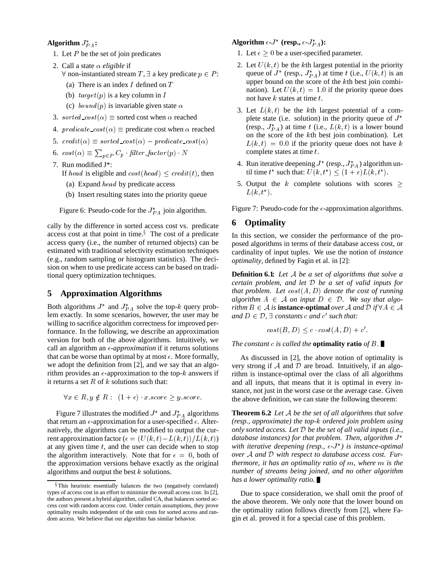#### **Algorithm**  $J_{PA}^*$ **:**

- 1. Let  $P$  be the set of join predicates
- 2. Call a state  $\alpha$  *eligible* if  $\forall$  non-instantiated stream T,  $\exists$  a key predicate  $p \in P$ :
	- (a) There is an index  $I$  defined on  $T$
	- (b)  $target(p)$  is a key column in I
	- (c)  $bound(p)$  is invariable given state  $\alpha$
- 3. sorted  $\text{cost}(\alpha) \equiv$  sorted cost when  $\alpha$  reached
- 4. predicate  $cost(\alpha) \equiv$  predicate cost when  $\alpha$  reached
- 5. credit( $\alpha$ )  $\equiv$  sorted cost( $\alpha$ )  $\equiv$  predicate cost( $\alpha$ )
- 6.  $cost(\alpha) \equiv \sum_{p \in P} C_p \cdot filter\_factor(p) \cdot N$
- 7. Run modified J\*:

If head is eligible and  $cost(head) \leq credit(t)$ , then

- (a) Expand head by predicate access
- (b) Insert resulting states into the priority queue

Figure 6: Pseudo-code for the  $J_{PA}^{*}$  join algorithm.

cally by the difference in sorted access cost vs. predicate access cost at that point in time. $\frac{8}{3}$  The cost of a predicate access query (i.e., the number of returned objects) can be estimated with traditional selectivity estimation techniques (e.g., random sampling or histogram statistics). The decision on when to use predicate access can be based on traditional query optimization techniques.

## **5 Approximation Algorithms**

Both algorithms  $J^*$  and  $J_{PA}^*$  solve the top-k query problem exactly. In some scenarios, however, the user may be willing to sacrifice algorithm correctness for improved performance. In the following, we describe an approximation version for both of the above algorithms. Intuitively, we call an algorithm an  $\epsilon$ -*approximation* if it returns solutions that can be worse than optimal by at most  $\epsilon$ . More formally, we adopt the definition from [2], and we say that an algorithm provides an  $\epsilon$ -approximation to the top- $k$  answers if it returns a set  $R$  of  $k$  solutions such that:

 $\forall x \in R, y \notin R : (1 + \epsilon) \cdot x \text{ score} \geq y \text{ score}.$ 

Figure 7 illustrates the modified  $J^*$  and  $J_{PA}^*$  algorithms that return an  $\epsilon$ -approximation for a user-specified  $\epsilon$ . Alternatively, the algorithms can be modified to output the current approximation factor  $\epsilon = (U(k, t) - L(k, t))/L(k, t)$ at any given time  $t$ , and the user can decide when to stop the algorithm interactively. Note that for  $\epsilon = 0$ , both of the approximation versions behave exactly as the original algorithms and output the best  $k$  solutions.

## Algorithm  $\epsilon$ - $J^*$  (resp.,  $\epsilon$ - $J_{PA}^*$ ):

- 1. Let  $\epsilon > 0$  be a user-specified parameter.
- 2. Let  $U(k, t)$  be the kth largest potential in the priority queue of  $J^*$  (resp.,  $J_{PA}^*$ ) at time t (i.e.,  $U(k, t)$  is an upper bound on the score of the <sup>k</sup>th best join combination). Let  $U(k, t) = 1.0$  if the priority queue does not have  $k$  states at time  $t$ .
- 3. Let  $L(k, t)$  be the kth largest potential of a complete state (i.e. solution) in the priority queue of  $J^*$ (resp.,  $J_{PA}^{*}$ ) at time t (i.e.,  $L(k, t)$  is a lower bound on the score of the kth best join combination). Let  $L(k, t) = 0.0$  if the priority queue does not have k complete states at time  $t$ .
- 4. Run iterative deepening  $J^*$  (resp.,  $J_{PA}^*$ ) algorithm until time  $t^*$  such that:  $U(k, t^*) \leq (1 + \epsilon) L(k, t^*)$ .
- 5. Output the k complete solutions with scores  $\geq$  $L(k, t^*)$ .

Figure 7: Pseudo-code for the  $\epsilon$ -approximation algorithms.

### **6 Optimality**

In this section, we consider the performance of the proposed algorithms in terms of their database access cost, or cardinality of input tuples. We use the notion of *instance optimality*, defined by Fagin et al. in [2]:

**Definition 6.1:** *Let* <sup>A</sup> *be a set of algorithms that solve a certain problem, and let* <sup>D</sup> *be a set of valid inputs for that problem. Let*  $cost(A, D)$  *denote the cost of running* algorithm  $A \in \mathcal{A}$  on input  $D \in \mathcal{D}$ . We say that algo*rithm*  $B \in \mathcal{A}$  *is* **instance-optimal** *over*  $\mathcal{A}$  *and*  $\mathcal{D}$  *if*  $\forall A \in \mathcal{A}$ *and*  $D \in \mathcal{D}$ ,  $\exists$  *constants c and c' such that:* 

$$
cost(B, D) \le c \cdot cost(A, D) + c'.
$$

*The constant* c *is called the* **optimality ratio** *of* B*.*

As discussed in [2], the above notion of optimality is very strong if  $A$  and  $D$  are broad. Intuitively, if an algorithm is instance-optimal over the class of all algorithms and all inputs, that means that it is optimal in every instance, not just in the worst case or the average case. Given the above definition, we can state the following theorem:

**Theorem 6.2:** *Let* <sup>A</sup> *be the set of all algorithms that solve (resp., approximate) the top-*k *ordered join problem using only sorted access. Let* <sup>D</sup> *be the set of all valid inputs (i.e., database instances) for that problem. Then, algorithm* J *with iterative deepening (resp.,*  $\epsilon$ *-J*<sup>\*</sup>) *is instance-optimal over* <sup>A</sup> *and* <sup>D</sup> *with respect to database access cost. Furthermore, it has an optimality ratio of* m*, where* m *is the number of streams being joined, and no other algorithm has a lower optimality ratio.*

Due to space consideration, we shall omit the proof of the above theorem. We only note that the lower bound on the optimality ration follows directly from [2], where Fagin et al. proved it for a special case of this problem.

<sup>&</sup>lt;sup>§</sup>This heuristic essentially balances the two (negatively correlated) types of access cost in an effort to minimize the overall access cost. In [2], the authors present a hybrid algorithm, called CA, that balances sorted access cost with random access cost. Under certain assumptions, they prove optimality results independent of the unit costs for sorted access and random access. We believe that our algorithm has similar behavior.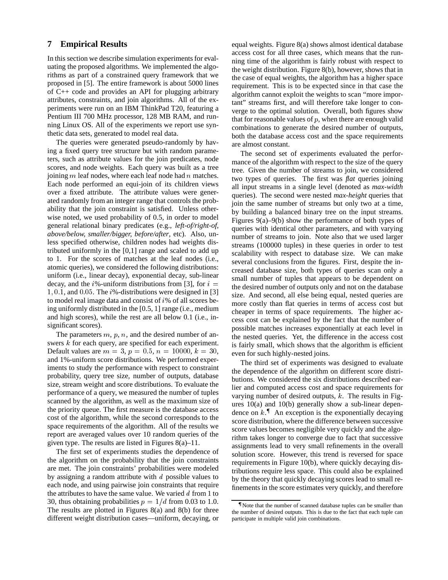### **7 Empirical Results**

In this section we describe simulation experiments for evaluating the proposed algorithms. We implemented the algorithms as part of a constrained query framework that we proposed in [5]. The entire framework is about 5000 lines of C++ code and provides an API for plugging arbitrary attributes, constraints, and join algorithms. All of the experiments were run on an IBM ThinkPad T20, featuring a Pentium III 700 MHz processor, 128 MB RAM, and running Linux OS. All of the experiments we report use synthetic data sets, generated to model real data.

The queries were generated pseudo-randomly by having a fixed query tree structure but with random parameters, such as attribute values for the join predicates, node scores, and node weights. Each query was built as a tree joining  $m$  leaf nodes, where each leaf node had  $n$  matches. Each node performed an equi-join of its children views over a fixed attribute. The attribute values were generated randomly from an integer range that controls the probability that the join constraint is satisfied. Unless otherwise noted, we used probability of 0.5, in order to model general relational binary predicates (e.g., *left-of/right-of, above/below, smaller/bigger, before/after*, etc). Also, unless specified otherwise, children nodes had weights distributed uniformly in the [0,1] range and scaled to add up to 1. For the scores of matches at the leaf nodes (i.e., atomic queries), we considered the following distributions: uniform (i.e., linear decay), exponential decay, sub-linear decay, and the  $i\%$ -uniform distributions from [3], for  $i =$ 1, 0.1, and 0.05. The  $i\%$ -distributions were designed in [3] to model real image data and consist of  $i\%$  of all scores being uniformly distributed in the [0.5, 1] range (i.e., medium and high scores), while the rest are all below 0.1 (i.e., insignificant scores).

The parameters  $m$ ,  $p$ ,  $n$ , and the desired number of answers k for each query, are specified for each experiment. Default values are  $m = 3$ ,  $p = 0.5$ ,  $n = 10000$ ,  $k = 30$ , and 1%-uniform score distributions. We performed experiments to study the performance with respect to constraint probability, query tree size, number of outputs, database size, stream weight and score distributions. To evaluate the performance of a query, we measured the number of tuples scanned by the algorithm, as well as the maximum size of the priority queue. The first measure is the database access cost of the algorithm, while the second corresponds to the space requirements of the algorithm. All of the results we report are averaged values over 10 random queries of the given type. The results are listed in Figures  $8(a)$ –11.

The first set of experiments studies the dependence of the algorithm on the probability that the join constraints are met. The join constraints' probabilities were modeled by assigning a random attribute with  $d$  possible values to each node, and using pairwise join constraints that require the attributes to have the same value. We varied  $d$  from 1 to 30, thus obtaining probabilities  $p = 1/d$  from 0.03 to 1.0. The results are plotted in Figures 8(a) and 8(b) for three different weight distribution cases—uniform, decaying, or equal weights. Figure 8(a) shows almost identical database access cost for all three cases, which means that the running time of the algorithm is fairly robust with respect to the weight distribution. Figure 8(b), however, shows that in the case of equal weights, the algorithm has a higher space requirement. This is to be expected since in that case the algorithm cannot exploit the weights to scan "more important" streams first, and will therefore take longer to converge to the optimal solution. Overall, both figures show that for reasonable values of  $p$ , when there are enough valid combinations to generate the desired number of outputs, both the database access cost and the space requirements are almost constant.

The second set of experiments evaluated the performance of the algorithm with respect to the size of the query tree. Given the number of streams to join, we considered two types of queries. The first was *flat* queries joining all input streams in a single level (denoted as *max-width* queries). The second were nested *max-height* queries that join the same number of streams but only two at a time, by building a balanced binary tree on the input streams. Figures 9(a)–9(b) show the performance of both types of queries with identical other parameters, and with varying number of streams to join. Note also that we used larger streams (100000 tuples) in these queries in order to test scalability with respect to database size. We can make several conclusions from the figures. First, despite the increased database size, both types of queries scan only a small number of tuples that appears to be dependent on the desired number of outputs only and not on the database size. And second, all else being equal, nested queries are more costly than flat queries in terms of access cost but cheaper in terms of space requirements. The higher access cost can be explained by the fact that the number of possible matches increases exponentially at each level in the nested queries. Yet, the difference in the access cost is fairly small, which shows that the algorithm is efficient even for such highly-nested joins.

The third set of experiments was designed to evaluate the dependence of the algorithm on different score distributions. We considered the six distributions described earlier and computed access cost and space requirements for varying number of desired outputs,  $k$ . The results in Figures 10(a) and 10(b) generally show a sub-linear dependence on  $k$ .<sup> $\parallel$ </sup> An exception is the exponentially decaying score distribution, where the difference between successive score values becomes negligible very quickly and the algorithm takes longer to converge due to fact that successive assignments lead to very small refinements in the overall solution score. However, this trend is reversed for space requirements in Figure 10(b), where quickly decaying distributions require less space. This could also be explained by the theory that quickly decaying scores lead to small refinements in the score estimates very quickly, and therefore

<sup>{</sup> Note that the number of scanned database tuples can be smaller than the number of desired outputs. This is due to the fact that each tuple can participate in multiple valid join combinations.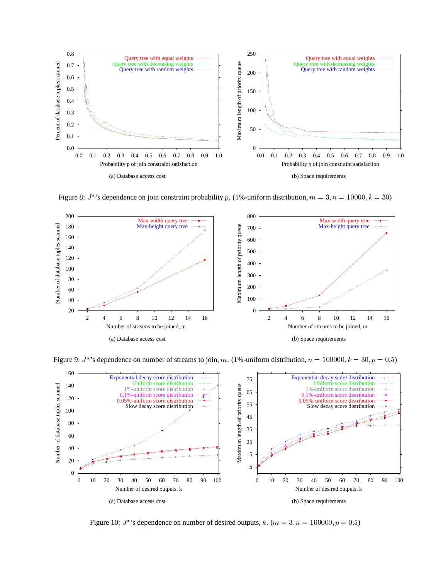

Figure 8:  $J^*$ 's dependence on join constraint probability p. (1%-uniform distribution,  $m = 3$ ,  $n = 10000$ ,  $k = 30$ )



Figure 9:  $J^*$ 's dependence on number of streams to join, m. (1%-uniform distribution,  $n = 100000$ ,  $k = 30$ ,  $p = 0.5$ )



Figure 10:  $J^*$ 's dependence on number of desired outputs,  $k$ .  $(m = 3, n = 100000, p = 0.5)$